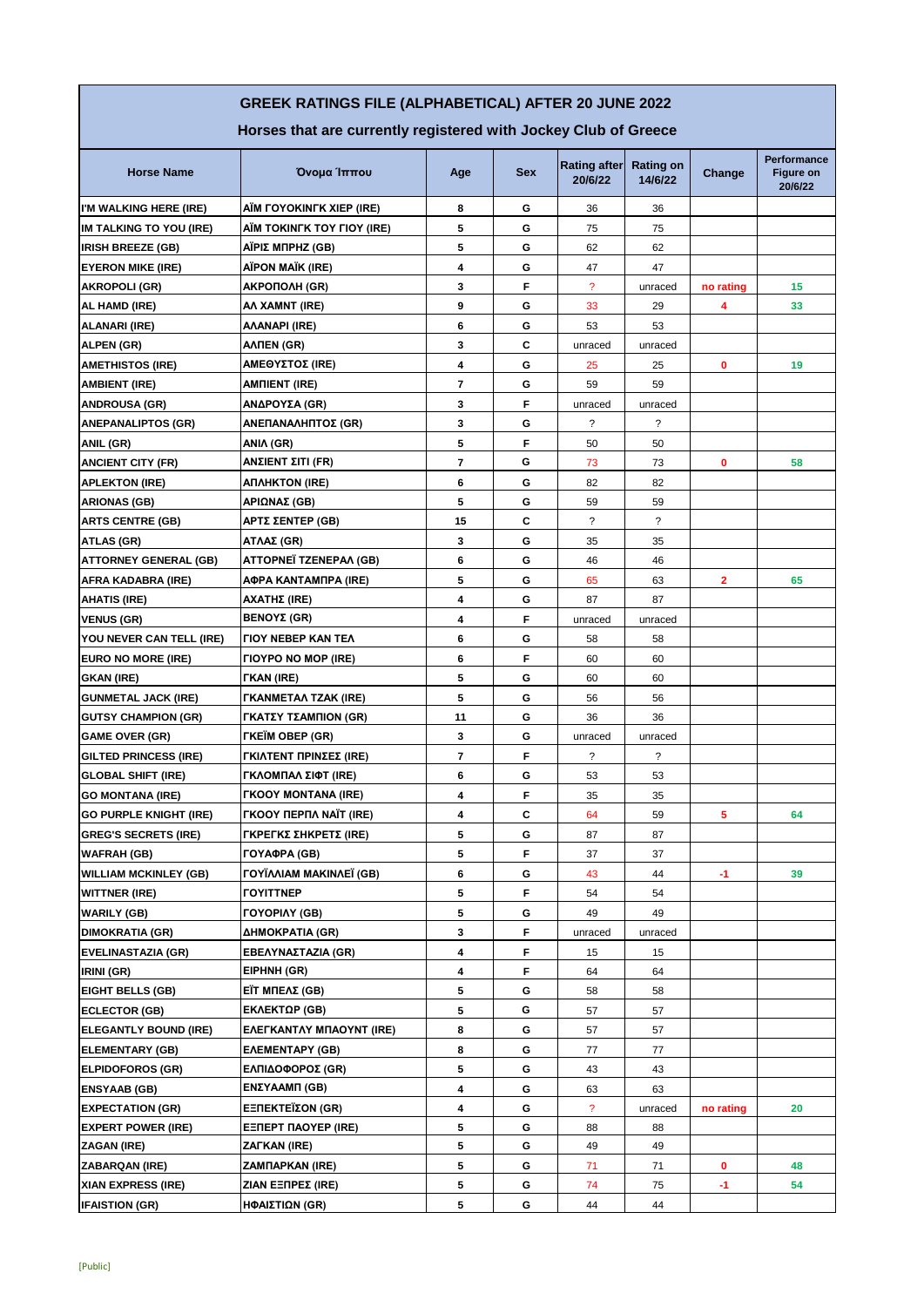## **GREEK RATINGS FILE (ALPHABETICAL) AFTER 20 JUNE 2022**

**Horses that are currently registered with Jockey Club of Greece** 

| <b>Horse Name</b>              | Όνομα Ίππου                          | Age                      | <b>Sex</b> | <b>Rating after</b><br>20/6/22 | <b>Rating on</b><br>14/6/22 | Change    | Performance<br>Figure on<br>20/6/22 |
|--------------------------------|--------------------------------------|--------------------------|------------|--------------------------------|-----------------------------|-----------|-------------------------------------|
| I'M WALKING HERE (IRE)         | AIM FOYOKINFK XIEP (IRE)             | 8                        | G          | 36                             | 36                          |           |                                     |
| <b>IM TALKING TO YOU (IRE)</b> | AIM TOKINFK TOY FIOY (IRE)           | 5                        | G          | 75                             | 75                          |           |                                     |
| <b>IRISH BREEZE (GB)</b>       | AΪΡΙΣ ΜΠΡΗΖ (GB)                     | 5                        | G          | 62                             | 62                          |           |                                     |
| <b>EYERON MIKE (IRE)</b>       | AÏPON MAÏK (IRE)                     | 4                        | G          | 47                             | 47                          |           |                                     |
| AKROPOLI (GR)                  | AKPOПOЛН (GR)                        | 3                        | F          | $\overline{\phantom{a}}$       | unraced                     | no rating | 15                                  |
| AL HAMD (IRE)                  | AA XAMNT (IRE)                       | 9                        | G          | 33                             | 29                          | 4         | 33                                  |
| ALANARI (IRE)                  | <b>AAANAPI (IRE)</b>                 | 6                        | G          | 53                             | 53                          |           |                                     |
| ALPEN (GR)                     | <b>AATIEN (GR)</b>                   | 3                        | C          | unraced                        | unraced                     |           |                                     |
| <b>AMETHISTOS (IRE)</b>        | <b>ΑΜΕΘΥΣΤΟΣ (IRE)</b>               | 4                        | G          | 25                             | 25                          | 0         | 19                                  |
| <b>AMBIENT (IRE)</b>           | <b>AMNIENT (IRE)</b>                 | $\overline{\phantom{a}}$ | G          | 59                             | 59                          |           |                                     |
| <b>ANDROUSA (GR)</b>           | ΑΝΔΡΟΥΣΑ (GR)                        | 3                        | F          | unraced                        | unraced                     |           |                                     |
| <b>ANEPANALIPTOS (GR)</b>      | ΑΝΕΠΑΝΑΛΗΠΤΟΣ (GR)                   | 3                        | G          | ?                              | ?                           |           |                                     |
| ANIL (GR)                      | ANIA (GR)                            | 5                        | F          | 50                             | 50                          |           |                                     |
| <b>ANCIENT CITY (FR)</b>       | ΑΝΣΙΕΝΤ ΣΙΤΙ (FR)                    | $\overline{7}$           | G          | 73                             | 73                          | 0         | 58                                  |
| <b>APLEKTON (IRE)</b>          | AΠΛΗΚΤΟΝ (IRE)                       | 6                        | G          | 82                             | 82                          |           |                                     |
| <b>ARIONAS (GB)</b>            | ΑΡΙΩΝΑΣ (GB)                         | 5                        | G          | 59                             | 59                          |           |                                     |
| <b>ARTS CENTRE (GB)</b>        | ΑΡΤΣ ΣΕΝΤΕΡ (GB)                     | 15                       | С          | ?                              | $\overline{\mathcal{E}}$    |           |                                     |
| ATLAS (GR)                     | ΑΤΛΑΣ (GR)                           | 3                        | G          | 35                             | 35                          |           |                                     |
| <b>ATTORNEY GENERAL (GB)</b>   | ATTOPNEÏ TZENEPAA (GB)               | 6                        | G          | 46                             | 46                          |           |                                     |
| AFRA KADABRA (IRE)             | <b>ΑΦΡΑ ΚΑΝΤΑΜΠΡΑ (IRE)</b>          | 5                        | G          | 65                             | 63                          | 2         | 65                                  |
| <b>AHATIS (IRE)</b>            | AXATHΣ (IRE)                         | 4                        | G          | 87                             | 87                          |           |                                     |
| <b>VENUS (GR)</b>              | BENOΥΣ (GR)                          | 4                        | F          | unraced                        | unraced                     |           |                                     |
| YOU NEVER CAN TELL (IRE)       | <b><i>FIOY NEBEP KAN TEA</i></b>     | 6                        | G          | 58                             | 58                          |           |                                     |
| EURO NO MORE (IRE)             | <b><i>FIOYPO NO MOP (IRE)</i></b>    | 6                        | F          | 60                             | 60                          |           |                                     |
| <b>GKAN (IRE)</b>              | <b>FKAN (IRE)</b>                    | 5                        | G          | 60                             | 60                          |           |                                     |
| <b>GUNMETAL JACK (IRE)</b>     | <b><i>FKANMETAA TZAK (IRE)</i></b>   | 5                        | G          | 56                             | 56                          |           |                                     |
| <b>GUTSY CHAMPION (GR)</b>     | ΓΚΑΤΣΥ ΤΣΑΜΠΙΟΝ (GR)                 | 11                       | G          | 36                             | 36                          |           |                                     |
| <b>GAME OVER (GR)</b>          | <b><i>FKEIM OBEP (GR)</i></b>        | 3                        | G          | unraced                        | unraced                     |           |                                     |
| <b>GILTED PRINCESS (IRE)</b>   | ΓΚΙΛΤΕΝΤ ΠΡΙΝΣΕΣ (IRE)               | 7                        | F          | ?                              | $\ddot{\phantom{0}}$        |           |                                     |
| <b>GLOBAL SHIFT (IRE)</b>      | ΓΚΛΟΜΠΑΛ ΣΙΦΤ (IRE)                  | 6                        | G          | 53                             | 53                          |           |                                     |
| <b>GO MONTANA (IRE)</b>        | <b>FKOOY MONTANA (IRE)</b>           | 4                        | F          | 35                             | 35                          |           |                                     |
| <b>GO PURPLE KNIGHT (IRE)</b>  | <b><i>FKOOY ΠΕΡΠΛ ΝΑΪΤ (IRE)</i></b> | 4                        | C          | 64                             | 59                          | 5         | 64                                  |
| <b>GREG'S SECRETS (IRE)</b>    | ΓΚΡΕΓΚΣ ΣΗΚΡΕΤΣ (IRE)                | 5                        | G          | 87                             | 87                          |           |                                     |
| <b>WAFRAH (GB)</b>             | ГОҮАФРА (GB)                         | 5                        | F          | 37                             | 37                          |           |                                     |
| <b>WILLIAM MCKINLEY (GB)</b>   | <b>FOYÏAAIAM MAKINAEÏ (GB)</b>       | 6                        | G          | 43                             | 44                          | $-1$      | 39                                  |
| <b>WITTNER (IRE)</b>           | <b><i>FOYITTNEP</i></b>              | 5                        | F          | 54                             | 54                          |           |                                     |
| <b>WARILY (GB)</b>             | <b>FOYOPIAY (GB)</b>                 | 5                        | G          | 49                             | 49                          |           |                                     |
| <b>DIMOKRATIA (GR)</b>         | ΔΗΜΟΚΡΑΤΙΑ (GR)                      | 3                        | F.         | unraced                        | unraced                     |           |                                     |
| <b>EVELINASTAZIA (GR)</b>      | EBEΛΥΝΑΣΤΑΖΙΑ (GR)                   | 4                        | F          | 15                             | 15                          |           |                                     |
| IRINI (GR)                     | EIPHNH (GR)                          | 4                        | F          | 64                             | 64                          |           |                                     |
| <b>EIGHT BELLS (GB)</b>        | EΪT ΜΠΕΛΣ (GB)                       | 5                        | G          | 58                             | 58                          |           |                                     |
| <b>ECLECTOR (GB)</b>           | EKΛΕΚΤΩΡ (GB)                        | 5                        | G          | 57                             | 57                          |           |                                     |
| <b>ELEGANTLY BOUND (IRE)</b>   | <b>EAEFKANTAY MITAOYNT (IRE)</b>     | 8                        | G          | 57                             | 57                          |           |                                     |
| <b>ELEMENTARY (GB)</b>         | <b>EAEMENTAPY (GB)</b>               | 8                        | G          | 77                             | 77                          |           |                                     |
| <b>ELPIDOFOROS (GR)</b>        | ΕΛΠΙΔΟΦΟΡΟΣ (GR)                     | 5                        | G          | 43                             | 43                          |           |                                     |
| <b>ENSYAAB (GB)</b>            | ΕΝΣΥΑΑΜΠ (GB)                        | 4                        | G          | 63                             | 63                          |           |                                     |
| <b>EXPECTATION (GR)</b>        | EΞΠΕΚΤΕΪΣΟΝ (GR)                     | 4                        | G          | $\overline{\mathcal{E}}$       | unraced                     | no rating | 20                                  |
| <b>EXPERT POWER (IRE)</b>      | <b>EENEPT NAOYEP (IRE)</b>           | 5                        | G          | 88                             | 88                          |           |                                     |
| ZAGAN (IRE)                    | ZAFKAN (IRE)                         | 5                        | G          | 49                             | 49                          |           |                                     |
| <b>ZABARQAN (IRE)</b>          | <b>ZAMTIAPKAN (IRE)</b>              | 5                        | G          | 71                             | 71                          | 0         | 48                                  |
| XIAN EXPRESS (IRE)             | ZIAN EENPEZ (IRE)                    | 5                        | G          | 74                             | 75                          | -1        | 54                                  |
| <b>IFAISTION (GR)</b>          | ΗΦΑΙΣΤΙΩΝ (GR)                       | 5                        | G          | 44                             | 44                          |           |                                     |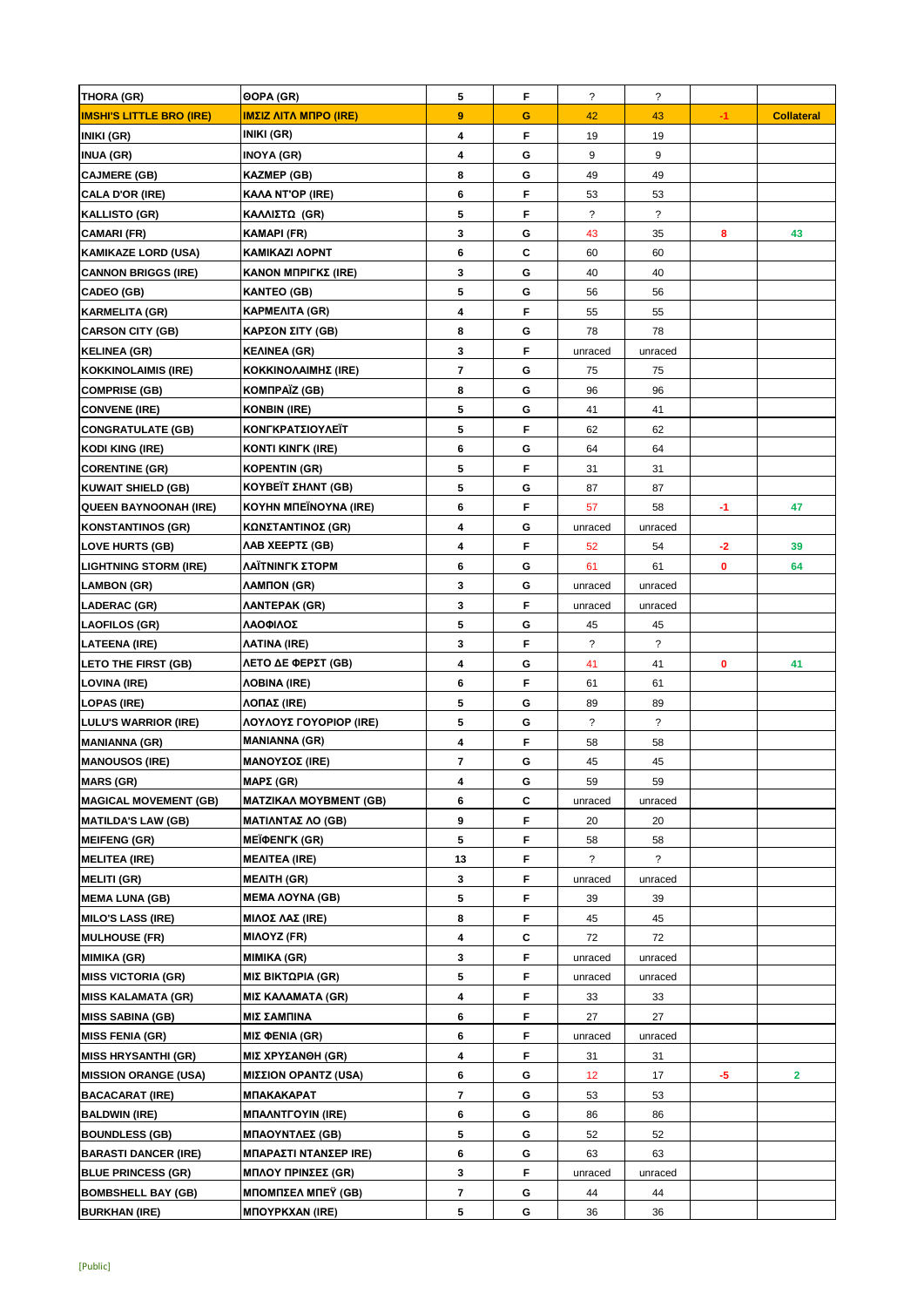| THORA (GR)                                       | OOPA (GR)                             | 5              | F      | $\ddot{\phantom{0}}$     | $\ddot{\phantom{0}}$     |      |                   |
|--------------------------------------------------|---------------------------------------|----------------|--------|--------------------------|--------------------------|------|-------------------|
| <b>IMSHI'S LITTLE BRO (IRE)</b>                  | <b>ΙΜΣΙΖ ΛΙΤΛ ΜΠΡΟ (IRE)</b>          | 9              | G      | 42                       | 43                       | $-1$ | <b>Collateral</b> |
| INIKI (GR)                                       | INIKI (GR)                            | 4              | F      | 19                       | 19                       |      |                   |
| <b>INUA (GR)</b>                                 | INOYA (GR)                            | 4              | G      | 9                        | 9                        |      |                   |
| <b>CAJMERE (GB)</b>                              | KAZMEP (GB)                           | 8              | G      | 49                       | 49                       |      |                   |
| <b>CALA D'OR (IRE)</b>                           | KAAA NT'OP (IRE)                      | 6              | F      | 53                       | 53                       |      |                   |
| <b>KALLISTO (GR)</b>                             | ΚΑΛΛΙΣΤΩ (GR)                         | 5              | F      | ?                        | $\overline{\phantom{a}}$ |      |                   |
| <b>CAMARI (FR)</b>                               | KAMAPI (FR)                           | 3              | G      | 43                       | 35                       | 8    | 43                |
| <b>KAMIKAZE LORD (USA)</b>                       | KAMIKAZI AOPNT                        | 6              | C      | 60                       | 60                       |      |                   |
| <b>CANNON BRIGGS (IRE)</b>                       | ΚΑΝΟΝ ΜΠΡΙΓΚΣ (IRE)                   | 3              | G      | 40                       | 40                       |      |                   |
| <b>CADEO (GB)</b>                                | <b>KANTEO (GB)</b>                    | 5              | G      | 56                       | 56                       |      |                   |
| <b>KARMELITA (GR)</b>                            | KAPMEAITA (GR)                        | 4              | F      | 55                       | 55                       |      |                   |
| <b>CARSON CITY (GB)</b>                          | ΚΑΡΣΟΝ ΣΙΤΥ (GB)                      | 8              | G      | 78                       | 78                       |      |                   |
| <b>KELINEA (GR)</b>                              | KEAINEA (GR)                          | 3              | F      | unraced                  | unraced                  |      |                   |
| <b>KOKKINOLAIMIS (IRE)</b>                       | KOKKINOΛAIMHΣ (IRE)                   | 7              | G      | 75                       | 75                       |      |                   |
| <b>COMPRISE (GB)</b>                             | KOMNPAÏZ (GB)                         | 8              | G      | 96                       | 96                       |      |                   |
| <b>CONVENE (IRE)</b>                             | KONBIN (IRE)                          | 5              | G      | 41                       | 41                       |      |                   |
| <b>CONGRATULATE (GB)</b>                         | ΚΟΝΓΚΡΑΤΣΙΟΥΛΕΪΤ                      | 5              | F      | 62                       | 62                       |      |                   |
| <b>KODI KING (IRE)</b>                           | KONTI KINFK (IRE)                     | 6              | G      | 64                       | 64                       |      |                   |
| <b>CORENTINE (GR)</b>                            | KOPENTIN (GR)                         | 5              | F      | 31                       | 31                       |      |                   |
| <b>KUWAIT SHIELD (GB)</b>                        | <b>KOYBEÏT ΣΗΛΝΤ (GB)</b>             | 5              | G      | 87                       | 87                       |      |                   |
| <b>QUEEN BAYNOONAH (IRE)</b>                     | KOYHN MITEÏNOYNA (IRE)                | 6              | F      | 57                       | 58                       | -1   | 47                |
| <b>KONSTANTINOS (GR)</b>                         | ΚΩΝΣΤΑΝΤΙΝΟΣ (GR)                     | 4              | G      | unraced                  | unraced                  |      |                   |
| <b>LOVE HURTS (GB)</b>                           | ΛΑΒ ΧΕΕΡΤΣ (GB)                       | 4              | F      | 52                       | 54                       | $-2$ | 39                |
| <b>LIGHTNING STORM (IRE)</b>                     | ΛΑΙΤΝΙΝΓΚ ΣΤΟΡΜ                       | 6              | G      | 61                       | 61                       | 0    | 64                |
| <b>LAMBON (GR)</b>                               | ΛAMΠON (GR)                           | 3              | G      | unraced                  | unraced                  |      |                   |
| LADERAC (GR)                                     | AANTEPAK (GR)                         | 3              | F      | unraced                  | unraced                  |      |                   |
| <b>LAOFILOS (GR)</b>                             | ΛΑΟΦΙΛΟΣ                              | 5              | G      | 45                       | 45                       |      |                   |
| <b>LATEENA (IRE)</b>                             | AATINA (IRE)                          | 3              | F      | ?                        | $\overline{\phantom{a}}$ |      |                   |
| LETO THE FIRST (GB)                              | ΛΕΤΟ ΔΕ ΦΕΡΣΤ (GB)                    | 4              | G      | 41                       | 41                       | 0    | 41                |
| LOVINA (IRE)                                     | <b><i>AOBINA (IRE)</i></b>            | 6              | F      | 61                       | 61                       |      |                   |
| <b>LOPAS (IRE)</b>                               | ΛΟΠΑΣ (IRE)                           | 5              | G      | 89                       | 89                       |      |                   |
| <b>LULU'S WARRIOR (IRE)</b>                      | ΛΟΥΛΟΥΣ ΓΟΥΟΡΙΟΡ (IRE)                | 5              | G      | $\overline{\phantom{a}}$ | $\overline{\mathcal{E}}$ |      |                   |
| <b>MANIANNA (GR)</b>                             | <b>MANIANNA (GR)</b>                  | 4              | F      | 58                       | 58                       |      |                   |
| <b>MANOUSOS (IRE)</b>                            | <b>ΜΑΝΟΥΣΟΣ (IRE)</b>                 | 7              | G      | 45                       | 45                       |      |                   |
| <b>MARS (GR)</b>                                 | <b>ΜΑΡΣ (GR)</b>                      |                |        |                          |                          |      |                   |
| <b>MAGICAL MOVEMENT (GB)</b>                     | <b>MATZIKAA MOYBMENT (GB)</b>         | 4<br>6         | G<br>C | 59<br>unraced            | 59<br>unraced            |      |                   |
| <b>MATILDA'S LAW (GB)</b>                        | <b>ΜΑΤΙΛΝΤΑΣ ΛΟ (GB)</b>              | 9              | F.     | 20                       | 20                       |      |                   |
| <b>MEIFENG (GR)</b>                              | <b>MEIPENTK (GR)</b>                  | 5              | F      | 58                       | 58                       |      |                   |
| <b>MELITEA (IRE)</b>                             | <b>MEAITEA (IRE)</b>                  | 13             | F      | ?                        | $\overline{\mathcal{E}}$ |      |                   |
| <b>MELITI (GR)</b>                               | <b>MEAITH (GR)</b>                    | 3              | F.     |                          |                          |      |                   |
| <b>MEMA LUNA (GB)</b>                            | <b>MEMA AOYNA (GB)</b>                | 5              | F      | unraced<br>39            | unraced<br>39            |      |                   |
|                                                  |                                       | 8              | F      |                          |                          |      |                   |
| <b>MILO'S LASS (IRE)</b><br><b>MULHOUSE (FR)</b> | <b>ΜΙΛΟΣ ΛΑΣ (IRE)</b><br>MIAOYZ (FR) | 4              | С      | 45<br>72                 | 45<br>72                 |      |                   |
| <b>MIMIKA (GR)</b>                               | MIMIKA (GR)                           | 3              | F      | unraced                  | unraced                  |      |                   |
| <b>MISS VICTORIA (GR)</b>                        |                                       | 5              | F      |                          |                          |      |                   |
|                                                  | ΜΙΣ ΒΙΚΤΩΡΙΑ (GR)                     |                |        | unraced                  | unraced                  |      |                   |
| <b>MISS KALAMATA (GR)</b>                        | ΜΙΣ ΚΑΛΑΜΑΤΑ (GR)                     | 4              | F      | 33                       | 33                       |      |                   |
| <b>MISS SABINA (GB)</b>                          | ΜΙΣ ΣΑΜΠΙΝΑ                           | 6              | F      | 27                       | 27                       |      |                   |
| <b>MISS FENIA (GR)</b>                           | ΜΙΣ ΦΕΝΙΑ (GR)                        | 6              | F.     | unraced                  | unraced                  |      |                   |
| <b>MISS HRYSANTHI (GR)</b>                       | <b>ΜΙΣ ΧΡΥΣΑΝΘΗ (GR)</b>              | 4              | F      | 31                       | 31                       |      |                   |
| <b>MISSION ORANGE (USA)</b>                      | <b>ΜΙΣΣΙΟΝ ΟΡΑΝΤΖ (USA)</b>           | 6              | G      | 12                       | 17                       | -5   | $\mathbf{2}$      |
| <b>BACACARAT (IRE)</b>                           | МПАКАКАРАТ                            | $\overline{7}$ | G      | 53                       | 53                       |      |                   |
| <b>BALDWIN (IRE)</b>                             | <b>MITAANTFOYIN (IRE)</b>             | 6              | G      | 86                       | 86                       |      |                   |
| <b>BOUNDLESS (GB)</b>                            | <b>ΜΠΑΟΥΝΤΛΕΣ (GB)</b>                | 5              | G      | 52                       | 52                       |      |                   |
| <b>BARASTI DANCER (IRE)</b>                      | ΜΠΑΡΑΣΤΙ ΝΤΑΝΣΕΡ ΙRE)                 | 6              | G      | 63                       | 63                       |      |                   |
| <b>BLUE PRINCESS (GR)</b>                        | <b>ΜΠΛΟΥ ΠΡΙΝΣΕΣ (GR)</b>             | 3              | F      | unraced                  | unraced                  |      |                   |
| <b>BOMBSHELL BAY (GB)</b>                        | ΜΠΟΜΠΣΕΛ ΜΠΕΫ́ (GB)                   | 7              | G      | 44                       | 44                       |      |                   |
| <b>BURKHAN (IRE)</b>                             | <b>MNOYPKXAN (IRE)</b>                | 5              | G      | 36                       | 36                       |      |                   |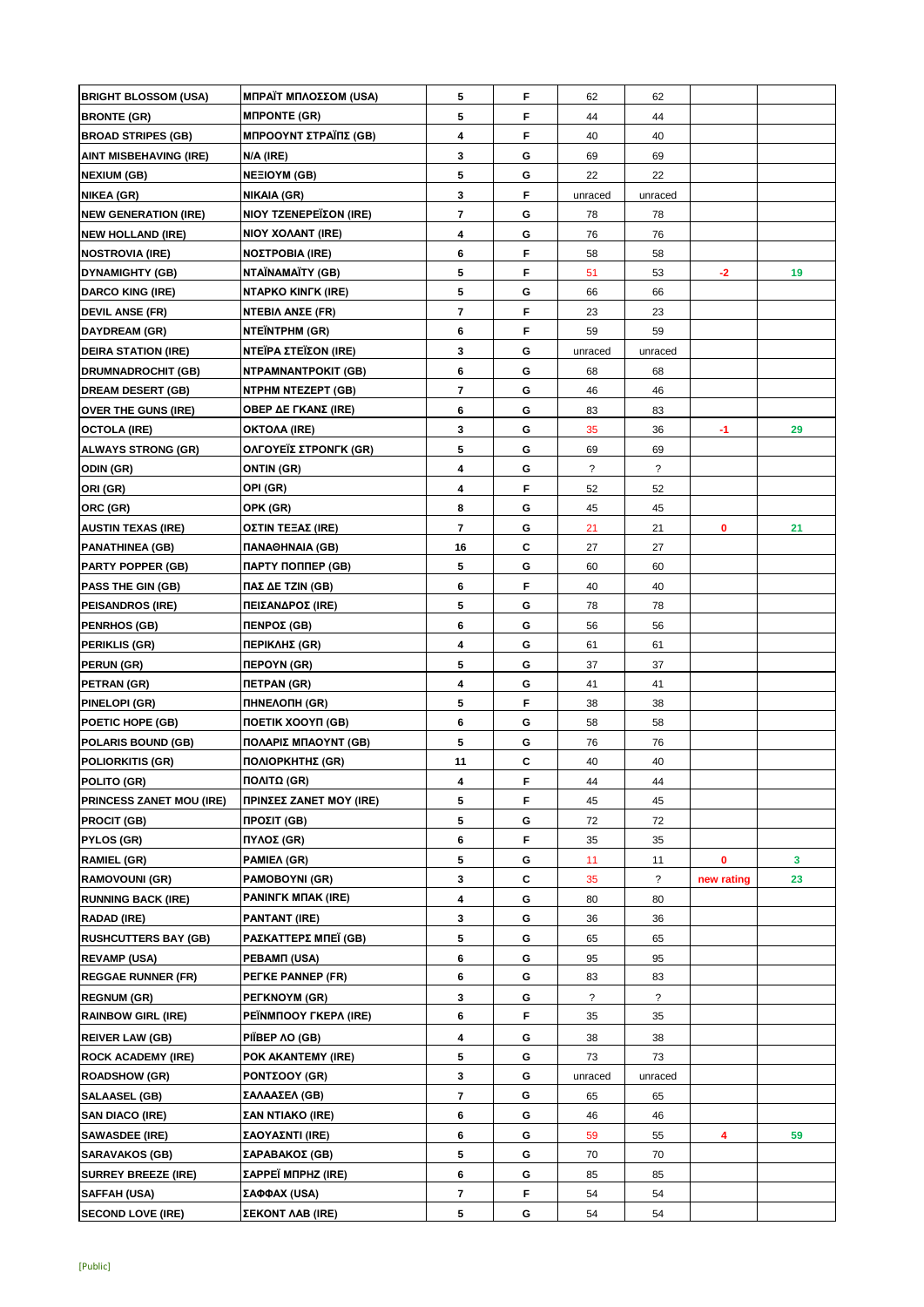| <b>BRIGHT BLOSSOM (USA)</b>     | ΜΠΡΑΪΤ ΜΠΛΟΣΣΟΜ (USA)                | 5                        | F  | 62             | 62                       |            |    |
|---------------------------------|--------------------------------------|--------------------------|----|----------------|--------------------------|------------|----|
| <b>BRONTE (GR)</b>              | <b>MIPONTE (GR)</b>                  | 5                        | F  | 44             | 44                       |            |    |
| <b>BROAD STRIPES (GB)</b>       | <b>ΜΠΡΟΟΥΝΤ ΣΤΡΑΪΠΣ (GB)</b>         | 4                        | F  | 40             | 40                       |            |    |
| <b>AINT MISBEHAVING (IRE)</b>   | N/A (IRE)                            | 3                        | G  | 69             | 69                       |            |    |
| <b>NEXIUM (GB)</b>              | <b>NEEIOYM (GB)</b>                  | 5                        | G  | 22             | 22                       |            |    |
| <b>NIKEA (GR)</b>               | <b>NIKAIA (GR)</b>                   | 3                        | F  | unraced        | unraced                  |            |    |
| <b>NEW GENERATION (IRE)</b>     | <b>NIOY TZENEPEÏΣON (IRE)</b>        | $\overline{\phantom{a}}$ | G  | 78             | 78                       |            |    |
| <b>NEW HOLLAND (IRE)</b>        | NIOY XOAANT (IRE)                    | 4                        | G  | 76             | 76                       |            |    |
| <b>NOSTROVIA (IRE)</b>          | <b>ΝΟΣΤΡΟΒΙΑ (IRE)</b>               | 6                        | F  | 58             | 58                       |            |    |
| <b>DYNAMIGHTY (GB)</b>          | NTAÏNAMAÏTY (GB)                     | 5                        | F  | 51             | 53                       | $-2$       | 19 |
| <b>DARCO KING (IRE)</b>         | <b>NTAPKO KINFK (IRE)</b>            | 5                        | G  | 66             | 66                       |            |    |
| <b>DEVIL ANSE (FR)</b>          | NTEBIΛ ANΣE (FR)                     | $\overline{\phantom{a}}$ | F  | 23             | 23                       |            |    |
| <b>DAYDREAM (GR)</b>            | <b>NTEÏNTPHM (GR)</b>                | 6                        | F  | 59             | 59                       |            |    |
| <b>DEIRA STATION (IRE)</b>      | ΝΤΕΪΡΑ ΣΤΕΪΣΟΝ (IRE)                 | 3                        | G  | unraced        | unraced                  |            |    |
| <b>DRUMNADROCHIT (GB)</b>       | <b>NTPAMNANTPOKIT (GB)</b>           | 6                        | G  | 68             | 68                       |            |    |
| <b>DREAM DESERT (GB)</b>        | NTPHM NTEZEPT (GB)                   | 7                        | G  | 46             | 46                       |            |    |
|                                 |                                      | 6                        | G  |                |                          |            |    |
| <b>OVER THE GUNS (IRE)</b>      | OBEP ΔΕ ΓΚΑΝΣ (IRE)                  |                          |    | 83             | 83                       |            |    |
| <b>OCTOLA (IRE)</b>             | OKTOAA (IRE)                         | 3                        | G  | 35             | 36                       | -1         | 29 |
| <b>ALWAYS STRONG (GR)</b>       | ΟΛΓΟΥΕΪΣ ΣΤΡΟΝΓΚ (GR)                | 5                        | G  | 69             | 69                       |            |    |
| ODIN (GR)                       | <b>ONTIN (GR)</b>                    | 4                        | G  | $\tilde{?}$    | $\overline{\mathcal{E}}$ |            |    |
| ORI (GR)                        | OPI (GR)                             | 4                        | F  | 52             | 52                       |            |    |
| ORC (GR)                        | OPK (GR)                             | 8                        | G  | 45             | 45                       |            |    |
| <b>AUSTIN TEXAS (IRE)</b>       | <b>OZTIN TEEAZ (IRE)</b>             | $\overline{\phantom{a}}$ | G  | 21             | 21                       | 0          | 21 |
| <b>PANATHINEA (GB)</b>          | <b><i><u>TANAOHNAIA</u></i></b> (GB) | 16                       | C  | 27             | 27                       |            |    |
| <b>PARTY POPPER (GB)</b>        | ПАРТҮ ПОППЕР (GB)                    | 5                        | G  | 60             | 60                       |            |    |
| <b>PASS THE GIN (GB)</b>        | ΠΑΣ ΔΕ ΤΖΙΝ (GB)                     | 6                        | F  | 40             | 40                       |            |    |
| <b>PEISANDROS (IRE)</b>         | ΠΕΙΣΑΝΔΡΟΣ (IRE)                     | 5                        | G  | 78             | 78                       |            |    |
| <b>PENRHOS (GB)</b>             | ΠΕΝΡΟΣ (GB)                          | 6                        | G  | 56             | 56                       |            |    |
| <b>PERIKLIS (GR)</b>            | ΠΕΡΙΚΛΗΣ (GR)                        | 4                        | G  | 61             | 61                       |            |    |
| PERUN (GR)                      | <b>NEPOYN (GR)</b>                   | 5                        | G  | 37             | 37                       |            |    |
| PETRAN (GR)                     | <b>ΠΕΤΡΑΝ (GR)</b>                   | 4                        | G  | 41             | 41                       |            |    |
| <b>PINELOPI (GR)</b>            | <b><i>NHNEAONH (GR)</i></b>          | 5                        | F  | 38             | 38                       |            |    |
| POETIC HOPE (GB)                | <b><i>NOETIK XOOYN (GB)</i></b>      | 6                        | G  | 58             | 58                       |            |    |
| <b>POLARIS BOUND (GB)</b>       | ΠΟΛΑΡΙΣ ΜΠΑΟΥΝΤ (GB)                 | 5                        | G  | 76             | 76                       |            |    |
| <b>POLIORKITIS (GR)</b>         | ΠΟΛΙΟΡΚΗΤΗΣ (GR)                     | 11                       | C  | 40             | 40                       |            |    |
| POLITO (GR)                     | ΠΟΛΙΤΩ (GR)                          | 4                        | F  | 44             | 44                       |            |    |
| <b>PRINCESS ZANET MOU (IRE)</b> | ΠΡΙΝΣΕΣ ZANET MOY (IRE)              | 5                        | F. | 45             | 45                       |            |    |
| <b>PROCIT (GB)</b>              | ΠΡΟΣΙΤ (GB)                          | 5                        | G  | 72             | 72                       |            |    |
| <b>PYLOS (GR)</b>               | ΠΥΛΟΣ (GR)                           | 6                        | F  | 35             | 35                       |            |    |
| <b>RAMIEL (GR)</b>              | PAMIEA (GR)                          | 5                        | G  | 11             | 11                       | 0          | 3  |
| <b>RAMOVOUNI (GR)</b>           | <b>PAMOBOYNI (GR)</b>                | 3                        | С  | 35             | $\overline{\mathcal{E}}$ | new rating | 23 |
| <b>RUNNING BACK (IRE)</b>       | PANINFK MITAK (IRE)                  | 4                        | G  | 80             | 80                       |            |    |
| <b>RADAD (IRE)</b>              | <b>PANTANT (IRE)</b>                 | 3                        | G  | 36             | 36                       |            |    |
| <b>RUSHCUTTERS BAY (GB)</b>     | ΡΑΣΚΑΤΤΕΡΣ ΜΠΕΪ (GB)                 | 5                        | G  | 65             | 65                       |            |    |
| <b>REVAMP (USA)</b>             | PEBAMIT (USA)                        | 6                        | G  | 95             | 95                       |            |    |
| <b>REGGAE RUNNER (FR)</b>       | PEFKE PANNEP (FR)                    | 6                        | G  | 83             | 83                       |            |    |
| <b>REGNUM (GR)</b>              | PETKNOYM (GR)                        | 3                        | G  | $\overline{?}$ | $\overline{?}$           |            |    |
| <b>RAINBOW GIRL (IRE)</b>       | PEÏNMΠOOY FKEPA (IRE)                | 6                        | F  | 35             | 35                       |            |    |
| <b>REIVER LAW (GB)</b>          | PIÏBEP AO (GB)                       | 4                        | G  | 38             | 38                       |            |    |
| <b>ROCK ACADEMY (IRE)</b>       | POK AKANTEMY (IRE)                   | 5                        | G  | 73             | 73                       |            |    |
| <b>ROADSHOW (GR)</b>            | PONTΣOOY (GR)                        | 3                        | G  | unraced        | unraced                  |            |    |
| <b>SALAASEL (GB)</b>            | ΣΑΛΑΑΣΕΛ (GB)                        | 7                        | G  | 65             | 65                       |            |    |
| <b>SAN DIACO (IRE)</b>          | ΣΑΝ ΝΤΙΑΚΟ (IRE)                     | 6                        | G  | 46             | 46                       |            |    |
| <b>SAWASDEE (IRE)</b>           | ΣΑΟΥΑΣΝΤΙ (IRE)                      | 6                        | G  | 59             | 55                       | 4          | 59 |
| <b>SARAVAKOS (GB)</b>           | ΣΑΡΑΒΑΚΟΣ (GB)                       | 5                        | G  | 70             | 70                       |            |    |
| <b>SURREY BREEZE (IRE)</b>      | ΣΑΡΡΕΪ ΜΠΡΗΖ (IRE)                   | 6                        | G  | 85             | 85                       |            |    |
| <b>SAFFAH (USA)</b>             | ΣΑΦΦΑΧ (USA)                         | 7                        | F  | 54             | 54                       |            |    |
| <b>SECOND LOVE (IRE)</b>        | <b>ΣΕΚΟΝΤ ΛΑΒ (IRE)</b>              | 5                        | G  | 54             | 54                       |            |    |
|                                 |                                      |                          |    |                |                          |            |    |